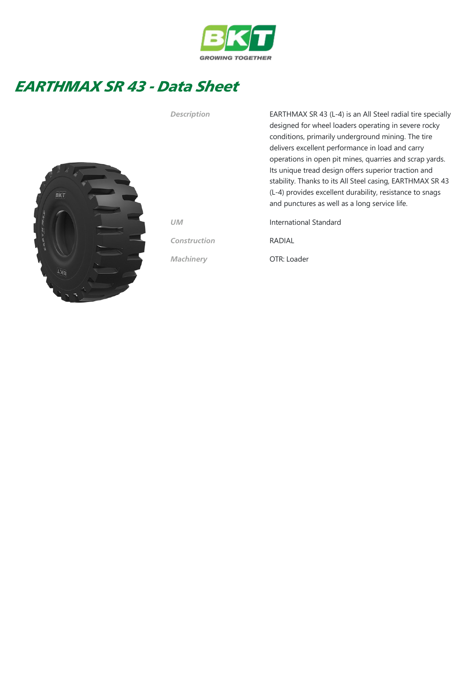

## EARTHMAX SR 43 - Data Sheet



Description EARTHMAX SR 43 (L-4) is an All Steel radial tire specially designed for wheel loaders operating in severe rocky conditions, primarily underground mining. The tire delivers excellent performance in load and carry operations in open pit mines, quarries and scrap yards. Its unique tread design offers superior traction and stability. Thanks to its All Steel casing, EARTHMAX SR 43 (L-4) provides excellent durability, resistance to snags and punctures as well as a long service life.

UM International Standard

Construction RADIAL

Machinery OTR: Loader